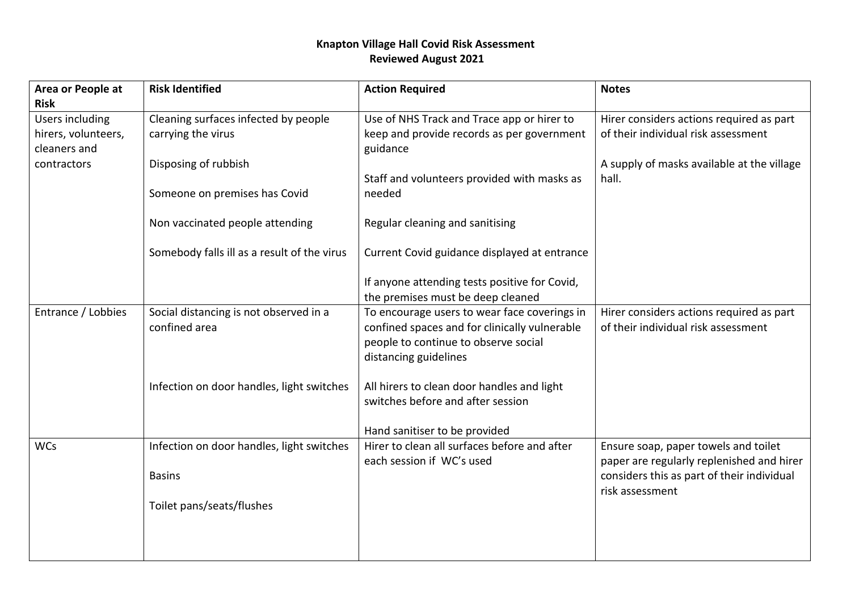## **Knapton Village Hall Covid Risk Assessment Reviewed August 2021**

| Area or People at      | <b>Risk Identified</b>                      | <b>Action Required</b>                        | <b>Notes</b>                               |
|------------------------|---------------------------------------------|-----------------------------------------------|--------------------------------------------|
| <b>Risk</b>            |                                             |                                               |                                            |
| <b>Users including</b> | Cleaning surfaces infected by people        | Use of NHS Track and Trace app or hirer to    | Hirer considers actions required as part   |
| hirers, volunteers,    | carrying the virus                          | keep and provide records as per government    | of their individual risk assessment        |
| cleaners and           |                                             | guidance                                      |                                            |
| contractors            | Disposing of rubbish                        |                                               | A supply of masks available at the village |
|                        |                                             | Staff and volunteers provided with masks as   | hall.                                      |
|                        | Someone on premises has Covid               | needed                                        |                                            |
|                        | Non vaccinated people attending             | Regular cleaning and sanitising               |                                            |
|                        | Somebody falls ill as a result of the virus | Current Covid guidance displayed at entrance  |                                            |
|                        |                                             |                                               |                                            |
|                        |                                             | If anyone attending tests positive for Covid, |                                            |
|                        |                                             | the premises must be deep cleaned             |                                            |
| Entrance / Lobbies     | Social distancing is not observed in a      | To encourage users to wear face coverings in  | Hirer considers actions required as part   |
|                        | confined area                               | confined spaces and for clinically vulnerable | of their individual risk assessment        |
|                        |                                             | people to continue to observe social          |                                            |
|                        |                                             | distancing guidelines                         |                                            |
|                        | Infection on door handles, light switches   | All hirers to clean door handles and light    |                                            |
|                        |                                             | switches before and after session             |                                            |
|                        |                                             | Hand sanitiser to be provided                 |                                            |
| <b>WCs</b>             | Infection on door handles, light switches   | Hirer to clean all surfaces before and after  | Ensure soap, paper towels and toilet       |
|                        |                                             | each session if WC's used                     | paper are regularly replenished and hirer  |
|                        | <b>Basins</b>                               |                                               | considers this as part of their individual |
|                        |                                             |                                               | risk assessment                            |
|                        | Toilet pans/seats/flushes                   |                                               |                                            |
|                        |                                             |                                               |                                            |
|                        |                                             |                                               |                                            |
|                        |                                             |                                               |                                            |